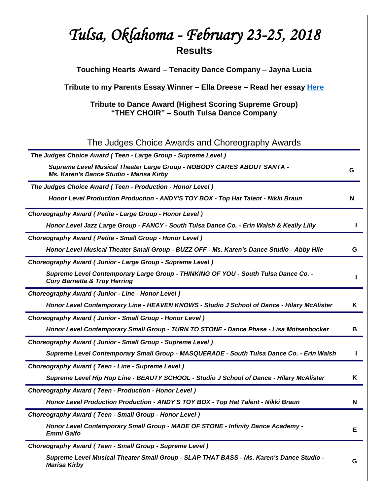| Tulsa, Oklahoma - February 23-25, 2018<br><b>Results</b>                                                                      |   |
|-------------------------------------------------------------------------------------------------------------------------------|---|
| Touching Hearts Award – Tenacity Dance Company – Jayna Lucia                                                                  |   |
| Tribute to my Parents Essay Winner - Ella Dreese - Read her essay Here                                                        |   |
| Tribute to Dance Award (Highest Scoring Supreme Group)<br>"THEY CHOIR" – South Tulsa Dance Company                            |   |
| The Judges Choice Awards and Choreography Awards                                                                              |   |
| The Judges Choice Award (Teen - Large Group - Supreme Level)                                                                  |   |
| Supreme Level Musical Theater Large Group - NOBODY CARES ABOUT SANTA -<br>Ms. Karen's Dance Studio - Marisa Kirby             | G |
| The Judges Choice Award (Teen - Production - Honor Level)                                                                     |   |
| Honor Level Production Production - ANDY'S TOY BOX - Top Hat Talent - Nikki Braun                                             | N |
| Choreography Award ( Petite - Large Group - Honor Level )                                                                     |   |
| Honor Level Jazz Large Group - FANCY - South Tulsa Dance Co. - Erin Walsh & Keally Lilly                                      |   |
| Choreography Award ( Petite - Small Group - Honor Level )                                                                     |   |
| Honor Level Musical Theater Small Group - BUZZ OFF - Ms. Karen's Dance Studio - Abby Hile                                     | G |
| Choreography Award (Junior - Large Group - Supreme Level)                                                                     |   |
| Supreme Level Contemporary Large Group - THINKING OF YOU - South Tulsa Dance Co. -<br><b>Cory Barnette &amp; Troy Herring</b> |   |
| Choreography Award (Junior - Line - Honor Level)                                                                              |   |
| Honor Level Contemporary Line - HEAVEN KNOWS - Studio J School of Dance - Hilary McAlister                                    | Κ |
| Choreography Award (Junior - Small Group - Honor Level)                                                                       |   |
| Honor Level Contemporary Small Group - TURN TO STONE - Dance Phase - Lisa Motsenbocker                                        | в |
| Choreography Award (Junior - Small Group - Supreme Level)                                                                     |   |
| Supreme Level Contemporary Small Group - MASQUERADE - South Tulsa Dance Co. - Erin Walsh                                      |   |
| Choreography Award (Teen - Line - Supreme Level)                                                                              |   |
| Supreme Level Hip Hop Line - BEAUTY SCHOOL - Studio J School of Dance - Hilary McAlister                                      | K |
| <b>Choreography Award (Teen - Production - Honor Level)</b>                                                                   |   |
| Honor Level Production Production - ANDY'S TOY BOX - Top Hat Talent - Nikki Braun                                             | N |
| Choreography Award (Teen - Small Group - Honor Level)                                                                         |   |
| Honor Level Contemporary Small Group - MADE OF STONE - Infinity Dance Academy -<br><b>Emmi Galfo</b>                          | Е |
| Choreography Award (Teen - Small Group - Supreme Level)                                                                       |   |
| Supreme Level Musical Theater Small Group - SLAP THAT BASS - Ms. Karen's Dance Studio -<br><b>Marisa Kirby</b>                | G |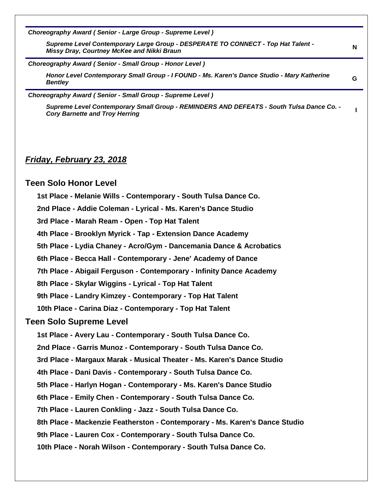*Choreography Award ( Senior - Large Group - Supreme Level )*

*Supreme Level Contemporary Large Group - DESPERATE TO CONNECT - Top Hat Talent - Missy Dray, Courtney McKee and Nikki Braun* **<sup>N</sup>**

*Choreography Award ( Senior - Small Group - Honor Level )*

*Honor Level Contemporary Small Group - I FOUND - Ms. Karen's Dance Studio - Mary Katherine Bentley* **<sup>G</sup>**

*Choreography Award ( Senior - Small Group - Supreme Level )*

*Supreme Level Contemporary Small Group - REMINDERS AND DEFEATS - South Tulsa Dance Co. - Cory Barnette and Troy Herring* **<sup>I</sup>**

# *Friday, February 23, 2018*

#### **Teen Solo Honor Level**

- **1st Place - Melanie Wills - Contemporary - South Tulsa Dance Co.**
- **2nd Place - Addie Coleman - Lyrical - Ms. Karen's Dance Studio**

**3rd Place - Marah Ream - Open - Top Hat Talent**

- **4th Place - Brooklyn Myrick - Tap - Extension Dance Academy**
- **5th Place - Lydia Chaney - Acro/Gym - Dancemania Dance & Acrobatics**
- **6th Place - Becca Hall - Contemporary - Jene' Academy of Dance**
- **7th Place - Abigail Ferguson - Contemporary - Infinity Dance Academy**
- **8th Place - Skylar Wiggins - Lyrical - Top Hat Talent**
- **9th Place - Landry Kimzey - Contemporary - Top Hat Talent**
- **10th Place - Carina Diaz - Contemporary - Top Hat Talent**

#### **Teen Solo Supreme Level**

- **1st Place - Avery Lau - Contemporary - South Tulsa Dance Co.**
- **2nd Place - Garris Munoz - Contemporary - South Tulsa Dance Co.**
- **3rd Place - Margaux Marak - Musical Theater - Ms. Karen's Dance Studio**
- **4th Place - Dani Davis - Contemporary - South Tulsa Dance Co.**
- **5th Place - Harlyn Hogan - Contemporary - Ms. Karen's Dance Studio**
- **6th Place - Emily Chen - Contemporary - South Tulsa Dance Co.**
- **7th Place - Lauren Conkling - Jazz - South Tulsa Dance Co.**
- **8th Place - Mackenzie Featherston - Contemporary - Ms. Karen's Dance Studio**
- **9th Place - Lauren Cox - Contemporary - South Tulsa Dance Co.**
- **10th Place - Norah Wilson - Contemporary - South Tulsa Dance Co.**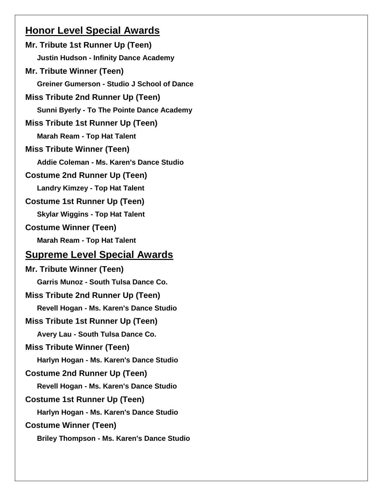# **Honor Level Special Awards**

**Mr. Tribute 1st Runner Up (Teen) Justin Hudson - Infinity Dance Academy Mr. Tribute Winner (Teen) Greiner Gumerson - Studio J School of Dance Miss Tribute 2nd Runner Up (Teen) Sunni Byerly - To The Pointe Dance Academy Miss Tribute 1st Runner Up (Teen) Marah Ream - Top Hat Talent Miss Tribute Winner (Teen) Addie Coleman - Ms. Karen's Dance Studio Costume 2nd Runner Up (Teen) Landry Kimzey - Top Hat Talent Costume 1st Runner Up (Teen) Skylar Wiggins - Top Hat Talent Costume Winner (Teen) Marah Ream - Top Hat Talent Supreme Level Special Awards Mr. Tribute Winner (Teen) Garris Munoz - South Tulsa Dance Co. Miss Tribute 2nd Runner Up (Teen) Revell Hogan - Ms. Karen's Dance Studio Miss Tribute 1st Runner Up (Teen) Avery Lau - South Tulsa Dance Co. Miss Tribute Winner (Teen) Harlyn Hogan - Ms. Karen's Dance Studio Costume 2nd Runner Up (Teen) Revell Hogan - Ms. Karen's Dance Studio Costume 1st Runner Up (Teen) Harlyn Hogan - Ms. Karen's Dance Studio Costume Winner (Teen) Briley Thompson - Ms. Karen's Dance Studio**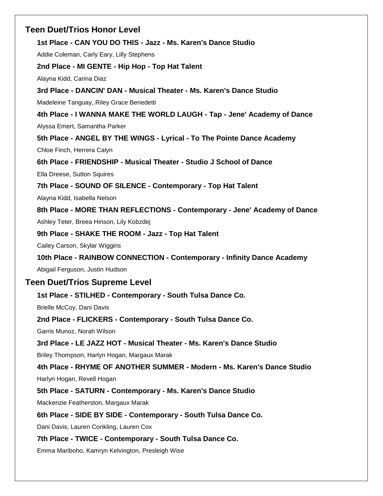# **Teen Duet/Trios Honor Level**

**1st Place - CAN YOU DO THIS - Jazz - Ms. Karen's Dance Studio**

Addie Coleman, Carly Eary, Lilly Stephens

**2nd Place - MI GENTE - Hip Hop - Top Hat Talent**

Alayna Kidd, Carina Diaz

**3rd Place - DANCIN' DAN - Musical Theater - Ms. Karen's Dance Studio**

Madeleine Tanguay, Riley Grace Benedetti

**4th Place - I WANNA MAKE THE WORLD LAUGH - Tap - Jene' Academy of Dance** Alyssa Emert, Samantha Parker

**5th Place - ANGEL BY THE WINGS - Lyrical - To The Pointe Dance Academy**

Chloe Finch, Herrera Calyn

**6th Place - FRIENDSHIP - Musical Theater - Studio J School of Dance**

Ella Dreese, Sutton Squires

**7th Place - SOUND OF SILENCE - Contemporary - Top Hat Talent**

Alayna Kidd, Isabella Nelson

**8th Place - MORE THAN REFLECTIONS - Contemporary - Jene' Academy of Dance**

Ashley Teter, Breea Hinson, Lily Kobzdej

**9th Place - SHAKE THE ROOM - Jazz - Top Hat Talent**

Cailey Carson, Skylar Wiggins

**10th Place - RAINBOW CONNECTION - Contemporary - Infinity Dance Academy**

Abigail Ferguson, Justin Hudson

# **Teen Duet/Trios Supreme Level**

# **1st Place - STILHED - Contemporary - South Tulsa Dance Co.**

Brielle McCoy, Dani Davis

**2nd Place - FLICKERS - Contemporary - South Tulsa Dance Co.**

Garris Munoz, Norah Wilson

# **3rd Place - LE JAZZ HOT - Musical Theater - Ms. Karen's Dance Studio**

Briley Thompson, Harlyn Hogan, Margaux Marak

**4th Place - RHYME OF ANOTHER SUMMER - Modern - Ms. Karen's Dance Studio** Harlyn Hogan, Revell Hogan

**5th Place - SATURN - Contemporary - Ms. Karen's Dance Studio**

Mackenzie Featherston, Margaux Marak

# **6th Place - SIDE BY SIDE - Contemporary - South Tulsa Dance Co.**

Dani Davis, Lauren Conkling, Lauren Cox

# **7th Place - TWICE - Contemporary - South Tulsa Dance Co.**

Emma Mariboho, Kamryn Kelvington, Presleigh Wise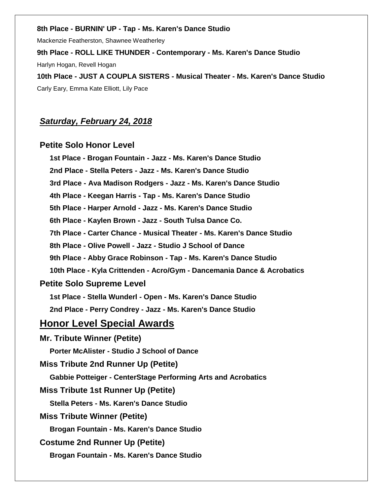#### **8th Place - BURNIN' UP - Tap - Ms. Karen's Dance Studio**

Mackenzie Featherston, Shawnee Weatherley

**9th Place - ROLL LIKE THUNDER - Contemporary - Ms. Karen's Dance Studio**

Harlyn Hogan, Revell Hogan

**10th Place - JUST A COUPLA SISTERS - Musical Theater - Ms. Karen's Dance Studio** Carly Eary, Emma Kate Elliott, Lily Pace

# *Saturday, February 24, 2018*

### **Petite Solo Honor Level**

**1st Place - Brogan Fountain - Jazz - Ms. Karen's Dance Studio 2nd Place - Stella Peters - Jazz - Ms. Karen's Dance Studio 3rd Place - Ava Madison Rodgers - Jazz - Ms. Karen's Dance Studio 4th Place - Keegan Harris - Tap - Ms. Karen's Dance Studio 5th Place - Harper Arnold - Jazz - Ms. Karen's Dance Studio 6th Place - Kaylen Brown - Jazz - South Tulsa Dance Co. 7th Place - Carter Chance - Musical Theater - Ms. Karen's Dance Studio 8th Place - Olive Powell - Jazz - Studio J School of Dance 9th Place - Abby Grace Robinson - Tap - Ms. Karen's Dance Studio 10th Place - Kyla Crittenden - Acro/Gym - Dancemania Dance & Acrobatics Petite Solo Supreme Level 1st Place - Stella Wunderl - Open - Ms. Karen's Dance Studio 2nd Place - Perry Condrey - Jazz - Ms. Karen's Dance Studio Honor Level Special Awards Mr. Tribute Winner (Petite) Porter McAlister - Studio J School of Dance Miss Tribute 2nd Runner Up (Petite) Gabbie Potteiger - CenterStage Performing Arts and Acrobatics Miss Tribute 1st Runner Up (Petite) Stella Peters - Ms. Karen's Dance Studio Miss Tribute Winner (Petite)**

**Brogan Fountain - Ms. Karen's Dance Studio**

**Costume 2nd Runner Up (Petite)**

**Brogan Fountain - Ms. Karen's Dance Studio**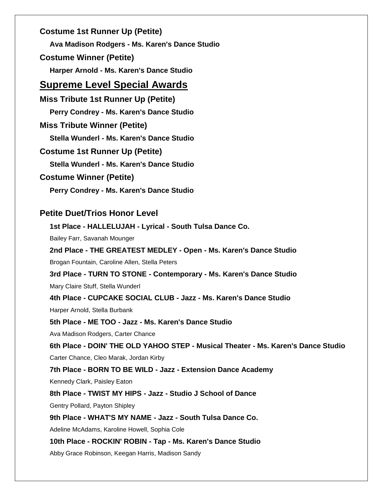**Costume 1st Runner Up (Petite) Ava Madison Rodgers - Ms. Karen's Dance Studio Costume Winner (Petite) Harper Arnold - Ms. Karen's Dance Studio**

# **Supreme Level Special Awards**

**Miss Tribute 1st Runner Up (Petite) Perry Condrey - Ms. Karen's Dance Studio Miss Tribute Winner (Petite) Stella Wunderl - Ms. Karen's Dance Studio Costume 1st Runner Up (Petite) Stella Wunderl - Ms. Karen's Dance Studio Costume Winner (Petite) Perry Condrey - Ms. Karen's Dance Studio**

# **Petite Duet/Trios Honor Level**

**1st Place - HALLELUJAH - Lyrical - South Tulsa Dance Co.** Bailey Farr, Savanah Mounger **2nd Place - THE GREATEST MEDLEY - Open - Ms. Karen's Dance Studio** Brogan Fountain, Caroline Allen, Stella Peters **3rd Place - TURN TO STONE - Contemporary - Ms. Karen's Dance Studio** Mary Claire Stuff, Stella Wunderl **4th Place - CUPCAKE SOCIAL CLUB - Jazz - Ms. Karen's Dance Studio** Harper Arnold, Stella Burbank **5th Place - ME TOO - Jazz - Ms. Karen's Dance Studio** Ava Madison Rodgers, Carter Chance **6th Place - DOIN' THE OLD YAHOO STEP - Musical Theater - Ms. Karen's Dance Studio** Carter Chance, Cleo Marak, Jordan Kirby **7th Place - BORN TO BE WILD - Jazz - Extension Dance Academy** Kennedy Clark, Paisley Eaton **8th Place - TWIST MY HIPS - Jazz - Studio J School of Dance** Gentry Pollard, Payton Shipley **9th Place - WHAT'S MY NAME - Jazz - South Tulsa Dance Co.** Adeline McAdams, Karoline Howell, Sophia Cole **10th Place - ROCKIN' ROBIN - Tap - Ms. Karen's Dance Studio**

Abby Grace Robinson, Keegan Harris, Madison Sandy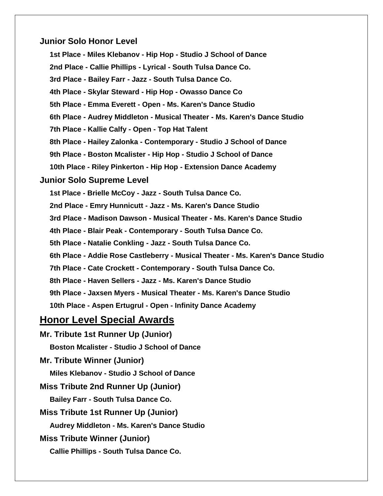# **Junior Solo Honor Level**

**1st Place - Miles Klebanov - Hip Hop - Studio J School of Dance 2nd Place - Callie Phillips - Lyrical - South Tulsa Dance Co. 3rd Place - Bailey Farr - Jazz - South Tulsa Dance Co. 4th Place - Skylar Steward - Hip Hop - Owasso Dance Co 5th Place - Emma Everett - Open - Ms. Karen's Dance Studio 6th Place - Audrey Middleton - Musical Theater - Ms. Karen's Dance Studio 7th Place - Kallie Calfy - Open - Top Hat Talent 8th Place - Hailey Zalonka - Contemporary - Studio J School of Dance 9th Place - Boston Mcalister - Hip Hop - Studio J School of Dance 10th Place - Riley Pinkerton - Hip Hop - Extension Dance Academy Junior Solo Supreme Level 1st Place - Brielle McCoy - Jazz - South Tulsa Dance Co. 2nd Place - Emry Hunnicutt - Jazz - Ms. Karen's Dance Studio 3rd Place - Madison Dawson - Musical Theater - Ms. Karen's Dance Studio 4th Place - Blair Peak - Contemporary - South Tulsa Dance Co. 5th Place - Natalie Conkling - Jazz - South Tulsa Dance Co. 6th Place - Addie Rose Castleberry - Musical Theater - Ms. Karen's Dance Studio 7th Place - Cate Crockett - Contemporary - South Tulsa Dance Co. 8th Place - Haven Sellers - Jazz - Ms. Karen's Dance Studio 9th Place - Jaxsen Myers - Musical Theater - Ms. Karen's Dance Studio 10th Place - Aspen Ertugrul - Open - Infinity Dance Academy**

# **Honor Level Special Awards**

**Mr. Tribute 1st Runner Up (Junior) Boston Mcalister - Studio J School of Dance Mr. Tribute Winner (Junior) Miles Klebanov - Studio J School of Dance Miss Tribute 2nd Runner Up (Junior) Bailey Farr - South Tulsa Dance Co. Miss Tribute 1st Runner Up (Junior) Audrey Middleton - Ms. Karen's Dance Studio Miss Tribute Winner (Junior)**

**Callie Phillips - South Tulsa Dance Co.**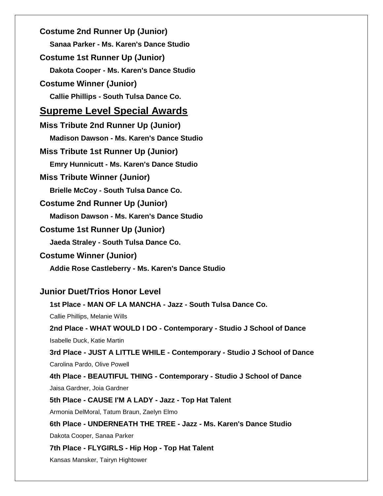**Costume 2nd Runner Up (Junior) Sanaa Parker - Ms. Karen's Dance Studio Costume 1st Runner Up (Junior) Dakota Cooper - Ms. Karen's Dance Studio Costume Winner (Junior) Callie Phillips - South Tulsa Dance Co. Supreme Level Special Awards Miss Tribute 2nd Runner Up (Junior) Madison Dawson - Ms. Karen's Dance Studio Miss Tribute 1st Runner Up (Junior) Emry Hunnicutt - Ms. Karen's Dance Studio Miss Tribute Winner (Junior) Brielle McCoy - South Tulsa Dance Co. Costume 2nd Runner Up (Junior) Madison Dawson - Ms. Karen's Dance Studio Costume 1st Runner Up (Junior) Jaeda Straley - South Tulsa Dance Co. Costume Winner (Junior) Addie Rose Castleberry - Ms. Karen's Dance Studio Junior Duet/Trios Honor Level 1st Place - MAN OF LA MANCHA - Jazz - South Tulsa Dance Co.** Callie Phillips, Melanie Wills **2nd Place - WHAT WOULD I DO - Contemporary - Studio J School of Dance** Isabelle Duck, Katie Martin **3rd Place - JUST A LITTLE WHILE - Contemporary - Studio J School of Dance** Carolina Pardo, Olive Powell **4th Place - BEAUTIFUL THING - Contemporary - Studio J School of Dance** Jaisa Gardner, Joia Gardner **5th Place - CAUSE I'M A LADY - Jazz - Top Hat Talent** Armonia DelMoral, Tatum Braun, Zaelyn Elmo **6th Place - UNDERNEATH THE TREE - Jazz - Ms. Karen's Dance Studio** Dakota Cooper, Sanaa Parker **7th Place - FLYGIRLS - Hip Hop - Top Hat Talent**

Kansas Mansker, Tairyn Hightower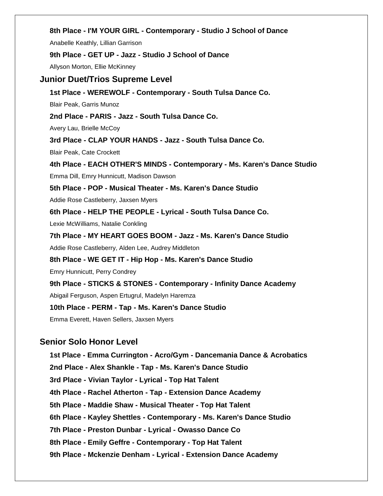#### **8th Place - I'M YOUR GIRL - Contemporary - Studio J School of Dance**

Anabelle Keathly, Lillian Garrison

#### **9th Place - GET UP - Jazz - Studio J School of Dance**

Allyson Morton, Ellie McKinney

#### **Junior Duet/Trios Supreme Level**

**1st Place - WEREWOLF - Contemporary - South Tulsa Dance Co.**

Blair Peak, Garris Munoz

**2nd Place - PARIS - Jazz - South Tulsa Dance Co.**

Avery Lau, Brielle McCoy

**3rd Place - CLAP YOUR HANDS - Jazz - South Tulsa Dance Co.**

Blair Peak, Cate Crockett

**4th Place - EACH OTHER'S MINDS - Contemporary - Ms. Karen's Dance Studio** Emma Dill, Emry Hunnicutt, Madison Dawson **5th Place - POP - Musical Theater - Ms. Karen's Dance Studio** Addie Rose Castleberry, Jaxsen Myers

**6th Place - HELP THE PEOPLE - Lyrical - South Tulsa Dance Co.**

Lexie McWilliams, Natalie Conkling

**7th Place - MY HEART GOES BOOM - Jazz - Ms. Karen's Dance Studio** Addie Rose Castleberry, Alden Lee, Audrey Middleton

**8th Place - WE GET IT - Hip Hop - Ms. Karen's Dance Studio**

Emry Hunnicutt, Perry Condrey

**9th Place - STICKS & STONES - Contemporary - Infinity Dance Academy** Abigail Ferguson, Aspen Ertugrul, Madelyn Haremza

**10th Place - PERM - Tap - Ms. Karen's Dance Studio**

Emma Everett, Haven Sellers, Jaxsen Myers

# **Senior Solo Honor Level**

**1st Place - Emma Currington - Acro/Gym - Dancemania Dance & Acrobatics 2nd Place - Alex Shankle - Tap - Ms. Karen's Dance Studio 3rd Place - Vivian Taylor - Lyrical - Top Hat Talent 4th Place - Rachel Atherton - Tap - Extension Dance Academy 5th Place - Maddie Shaw - Musical Theater - Top Hat Talent 6th Place - Kayley Shettles - Contemporary - Ms. Karen's Dance Studio 7th Place - Preston Dunbar - Lyrical - Owasso Dance Co 8th Place - Emily Geffre - Contemporary - Top Hat Talent 9th Place - Mckenzie Denham - Lyrical - Extension Dance Academy**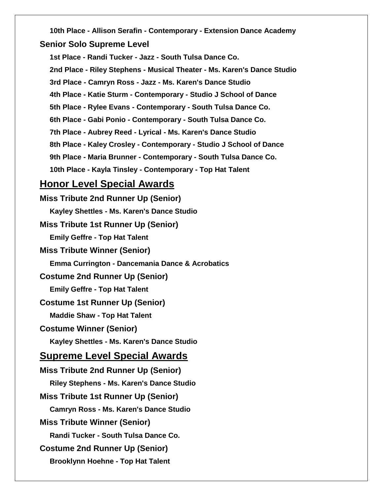**10th Place - Allison Serafin - Contemporary - Extension Dance Academy Senior Solo Supreme Level**

**1st Place - Randi Tucker - Jazz - South Tulsa Dance Co. 2nd Place - Riley Stephens - Musical Theater - Ms. Karen's Dance Studio 3rd Place - Camryn Ross - Jazz - Ms. Karen's Dance Studio 4th Place - Katie Sturm - Contemporary - Studio J School of Dance 5th Place - Rylee Evans - Contemporary - South Tulsa Dance Co. 6th Place - Gabi Ponio - Contemporary - South Tulsa Dance Co. 7th Place - Aubrey Reed - Lyrical - Ms. Karen's Dance Studio 8th Place - Kaley Crosley - Contemporary - Studio J School of Dance 9th Place - Maria Brunner - Contemporary - South Tulsa Dance Co. 10th Place - Kayla Tinsley - Contemporary - Top Hat Talent Honor Level Special Awards Miss Tribute 2nd Runner Up (Senior) Kayley Shettles - Ms. Karen's Dance Studio Miss Tribute 1st Runner Up (Senior) Emily Geffre - Top Hat Talent Miss Tribute Winner (Senior) Emma Currington - Dancemania Dance & Acrobatics Costume 2nd Runner Up (Senior) Emily Geffre - Top Hat Talent Costume 1st Runner Up (Senior) Maddie Shaw - Top Hat Talent Costume Winner (Senior) Kayley Shettles - Ms. Karen's Dance Studio Supreme Level Special Awards Miss Tribute 2nd Runner Up (Senior) Riley Stephens - Ms. Karen's Dance Studio Miss Tribute 1st Runner Up (Senior) Camryn Ross - Ms. Karen's Dance Studio Miss Tribute Winner (Senior) Randi Tucker - South Tulsa Dance Co. Costume 2nd Runner Up (Senior)**

**Brooklynn Hoehne - Top Hat Talent**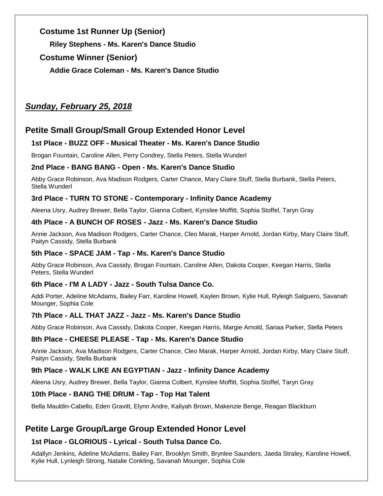# **Costume 1st Runner Up (Senior)**

**Riley Stephens - Ms. Karen's Dance Studio**

# **Costume Winner (Senior)**

**Addie Grace Coleman - Ms. Karen's Dance Studio**

# *Sunday, February 25, 2018*

# **Petite Small Group/Small Group Extended Honor Level**

# **1st Place - BUZZ OFF - Musical Theater - Ms. Karen's Dance Studio**

Brogan Fountain, Caroline Allen, Perry Condrey, Stella Peters, Stella Wunderl

# **2nd Place - BANG BANG - Open - Ms. Karen's Dance Studio**

Abby Grace Robinson, Ava Madison Rodgers, Carter Chance, Mary Claire Stuff, Stella Burbank, Stella Peters, Stella Wunderl

# **3rd Place - TURN TO STONE - Contemporary - Infinity Dance Academy**

Aleena Usry, Audrey Brewer, Bella Taylor, Gianna Colbert, Kynslee Moffitt, Sophia Stoffel, Taryn Gray

# **4th Place - A BUNCH OF ROSES - Jazz - Ms. Karen's Dance Studio**

Annie Jackson, Ava Madison Rodgers, Carter Chance, Cleo Marak, Harper Arnold, Jordan Kirby, Mary Claire Stuff, Paityn Cassidy, Stella Burbank

# **5th Place - SPACE JAM - Tap - Ms. Karen's Dance Studio**

Abby Grace Robinson, Ava Cassidy, Brogan Fountain, Caroline Allen, Dakota Cooper, Keegan Harris, Stella Peters, Stella Wunderl

# **6th Place - I'M A LADY - Jazz - South Tulsa Dance Co.**

Addi Porter, Adeline McAdams, Bailey Farr, Karoline Howell, Kaylen Brown, Kylie Hull, Ryleigh Salguero, Savanah Mounger, Sophia Cole

# **7th Place - ALL THAT JAZZ - Jazz - Ms. Karen's Dance Studio**

Abby Grace Robinson, Ava Cassidy, Dakota Cooper, Keegan Harris, Margie Arnold, Sanaa Parker, Stella Peters

# **8th Place - CHEESE PLEASE - Tap - Ms. Karen's Dance Studio**

Annie Jackson, Ava Madison Rodgers, Carter Chance, Cleo Marak, Harper Arnold, Jordan Kirby, Mary Claire Stuff, Paityn Cassidy, Stella Burbank

# **9th Place - WALK LIKE AN EGYPTIAN - Jazz - Infinity Dance Academy**

Aleena Usry, Audrey Brewer, Bella Taylor, Gianna Colbert, Kynslee Moffitt, Sophia Stoffel, Taryn Gray

# **10th Place - BANG THE DRUM - Tap - Top Hat Talent**

Bella Mauldin-Cabello, Eden Gravitt, Elynn Andre, Kaliyah Brown, Makenzie Benge, Reagan Blackburn

# **Petite Large Group/Large Group Extended Honor Level**

# **1st Place - GLORIOUS - Lyrical - South Tulsa Dance Co.**

Adallyn Jenkins, Adeline McAdams, Bailey Farr, Brooklyn Smith, Brynlee Saunders, Jaeda Straley, Karoline Howell, Kylie Hull, Lynleigh Strong, Natalie Conkling, Savanah Mounger, Sophia Cole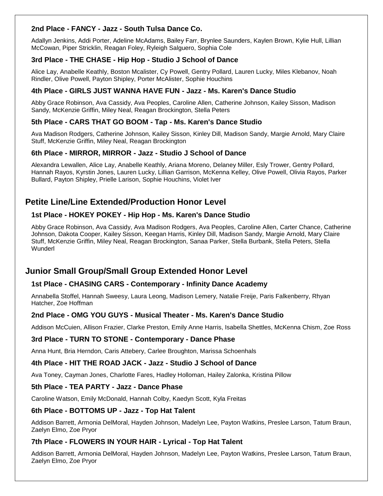## **2nd Place - FANCY - Jazz - South Tulsa Dance Co.**

Adallyn Jenkins, Addi Porter, Adeline McAdams, Bailey Farr, Brynlee Saunders, Kaylen Brown, Kylie Hull, Lillian McCowan, Piper Stricklin, Reagan Foley, Ryleigh Salguero, Sophia Cole

### **3rd Place - THE CHASE - Hip Hop - Studio J School of Dance**

Alice Lay, Anabelle Keathly, Boston Mcalister, Cy Powell, Gentry Pollard, Lauren Lucky, Miles Klebanov, Noah Rindler, Olive Powell, Payton Shipley, Porter McAlister, Sophie Houchins

### **4th Place - GIRLS JUST WANNA HAVE FUN - Jazz - Ms. Karen's Dance Studio**

Abby Grace Robinson, Ava Cassidy, Ava Peoples, Caroline Allen, Catherine Johnson, Kailey Sisson, Madison Sandy, McKenzie Griffin, Miley Neal, Reagan Brockington, Stella Peters

### **5th Place - CARS THAT GO BOOM - Tap - Ms. Karen's Dance Studio**

Ava Madison Rodgers, Catherine Johnson, Kailey Sisson, Kinley Dill, Madison Sandy, Margie Arnold, Mary Claire Stuff, McKenzie Griffin, Miley Neal, Reagan Brockington

### **6th Place - MIRROR, MIRROR - Jazz - Studio J School of Dance**

Alexandra Lewallen, Alice Lay, Anabelle Keathly, Ariana Moreno, Delaney Miller, Esly Trower, Gentry Pollard, Hannah Rayos, Kyrstin Jones, Lauren Lucky, Lillian Garrison, McKenna Kelley, Olive Powell, Olivia Rayos, Parker Bullard, Payton Shipley, Prielle Larison, Sophie Houchins, Violet Iver

# **Petite Line/Line Extended/Production Honor Level**

## **1st Place - HOKEY POKEY - Hip Hop - Ms. Karen's Dance Studio**

Abby Grace Robinson, Ava Cassidy, Ava Madison Rodgers, Ava Peoples, Caroline Allen, Carter Chance, Catherine Johnson, Dakota Cooper, Kailey Sisson, Keegan Harris, Kinley Dill, Madison Sandy, Margie Arnold, Mary Claire Stuff, McKenzie Griffin, Miley Neal, Reagan Brockington, Sanaa Parker, Stella Burbank, Stella Peters, Stella **Wunderl** 

# **Junior Small Group/Small Group Extended Honor Level**

### **1st Place - CHASING CARS - Contemporary - Infinity Dance Academy**

Annabella Stoffel, Hannah Sweesy, Laura Leong, Madison Lemery, Natalie Freije, Paris Falkenberry, Rhyan Hatcher, Zoe Hoffman

# **2nd Place - OMG YOU GUYS - Musical Theater - Ms. Karen's Dance Studio**

Addison McCuien, Allison Frazier, Clarke Preston, Emily Anne Harris, Isabella Shettles, McKenna Chism, Zoe Ross

### **3rd Place - TURN TO STONE - Contemporary - Dance Phase**

Anna Hunt, Bria Herndon, Caris Attebery, Carlee Broughton, Marissa Schoenhals

### **4th Place - HIT THE ROAD JACK - Jazz - Studio J School of Dance**

Ava Toney, Cayman Jones, Charlotte Fares, Hadley Holloman, Hailey Zalonka, Kristina Pillow

### **5th Place - TEA PARTY - Jazz - Dance Phase**

Caroline Watson, Emily McDonald, Hannah Colby, Kaedyn Scott, Kyla Freitas

### **6th Place - BOTTOMS UP - Jazz - Top Hat Talent**

Addison Barrett, Armonia DelMoral, Hayden Johnson, Madelyn Lee, Payton Watkins, Preslee Larson, Tatum Braun, Zaelyn Elmo, Zoe Pryor

### **7th Place - FLOWERS IN YOUR HAIR - Lyrical - Top Hat Talent**

Addison Barrett, Armonia DelMoral, Hayden Johnson, Madelyn Lee, Payton Watkins, Preslee Larson, Tatum Braun, Zaelyn Elmo, Zoe Pryor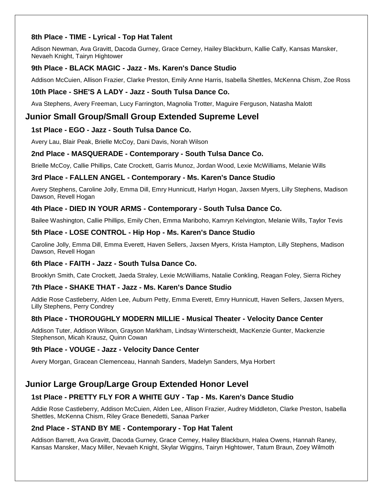## **8th Place - TIME - Lyrical - Top Hat Talent**

Adison Newman, Ava Gravitt, Dacoda Gurney, Grace Cerney, Hailey Blackburn, Kallie Calfy, Kansas Mansker, Nevaeh Knight, Tairyn Hightower

### **9th Place - BLACK MAGIC - Jazz - Ms. Karen's Dance Studio**

Addison McCuien, Allison Frazier, Clarke Preston, Emily Anne Harris, Isabella Shettles, McKenna Chism, Zoe Ross

## **10th Place - SHE'S A LADY - Jazz - South Tulsa Dance Co.**

Ava Stephens, Avery Freeman, Lucy Farrington, Magnolia Trotter, Maguire Ferguson, Natasha Malott

# **Junior Small Group/Small Group Extended Supreme Level**

## **1st Place - EGO - Jazz - South Tulsa Dance Co.**

Avery Lau, Blair Peak, Brielle McCoy, Dani Davis, Norah Wilson

### **2nd Place - MASQUERADE - Contemporary - South Tulsa Dance Co.**

Brielle McCoy, Callie Phillips, Cate Crockett, Garris Munoz, Jordan Wood, Lexie McWilliams, Melanie Wills

### **3rd Place - FALLEN ANGEL - Contemporary - Ms. Karen's Dance Studio**

Avery Stephens, Caroline Jolly, Emma Dill, Emry Hunnicutt, Harlyn Hogan, Jaxsen Myers, Lilly Stephens, Madison Dawson, Revell Hogan

## **4th Place - DIED IN YOUR ARMS - Contemporary - South Tulsa Dance Co.**

Bailee Washington, Callie Phillips, Emily Chen, Emma Mariboho, Kamryn Kelvington, Melanie Wills, Taylor Tevis

### **5th Place - LOSE CONTROL - Hip Hop - Ms. Karen's Dance Studio**

Caroline Jolly, Emma Dill, Emma Everett, Haven Sellers, Jaxsen Myers, Krista Hampton, Lilly Stephens, Madison Dawson, Revell Hogan

### **6th Place - FAITH - Jazz - South Tulsa Dance Co.**

Brooklyn Smith, Cate Crockett, Jaeda Straley, Lexie McWilliams, Natalie Conkling, Reagan Foley, Sierra Richey

### **7th Place - SHAKE THAT - Jazz - Ms. Karen's Dance Studio**

Addie Rose Castleberry, Alden Lee, Auburn Petty, Emma Everett, Emry Hunnicutt, Haven Sellers, Jaxsen Myers, Lilly Stephens, Perry Condrey

# **8th Place - THOROUGHLY MODERN MILLIE - Musical Theater - Velocity Dance Center**

Addison Tuter, Addison Wilson, Grayson Markham, Lindsay Winterscheidt, MacKenzie Gunter, Mackenzie Stephenson, Micah Krausz, Quinn Cowan

### **9th Place - VOUGE - Jazz - Velocity Dance Center**

Avery Morgan, Gracean Clemenceau, Hannah Sanders, Madelyn Sanders, Mya Horbert

# **Junior Large Group/Large Group Extended Honor Level**

# **1st Place - PRETTY FLY FOR A WHITE GUY - Tap - Ms. Karen's Dance Studio**

Addie Rose Castleberry, Addison McCuien, Alden Lee, Allison Frazier, Audrey Middleton, Clarke Preston, Isabella Shettles, McKenna Chism, Riley Grace Benedetti, Sanaa Parker

### **2nd Place - STAND BY ME - Contemporary - Top Hat Talent**

Addison Barrett, Ava Gravitt, Dacoda Gurney, Grace Cerney, Hailey Blackburn, Halea Owens, Hannah Raney, Kansas Mansker, Macy Miller, Nevaeh Knight, Skylar Wiggins, Tairyn Hightower, Tatum Braun, Zoey Wilmoth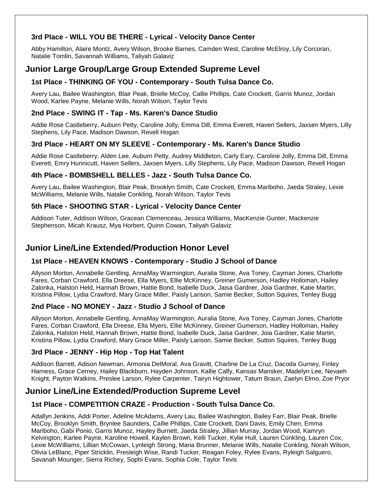# **3rd Place - WILL YOU BE THERE - Lyrical - Velocity Dance Center**

Abby Hamilton, Alaire Montz, Avery Wilson, Brooke Barnes, Camden West, Caroline McElroy, Lily Corcoran, Natalie Tomlin, Savannah Williams, Taliyah Galaviz

# **Junior Large Group/Large Group Extended Supreme Level**

# **1st Place - THINKING OF YOU - Contemporary - South Tulsa Dance Co.**

Avery Lau, Bailee Washington, Blair Peak, Brielle McCoy, Callie Phillips, Cate Crockett, Garris Munoz, Jordan Wood, Karlee Payne, Melanie Wills, Norah Wilson, Taylor Tevis

#### **2nd Place - SWING IT - Tap - Ms. Karen's Dance Studio**

Addie Rose Castleberry, Auburn Petty, Caroline Jolly, Emma Dill, Emma Everett, Haven Sellers, Jaxsen Myers, Lilly Stephens, Lily Pace, Madison Dawson, Revell Hogan

### **3rd Place - HEART ON MY SLEEVE - Contemporary - Ms. Karen's Dance Studio**

Addie Rose Castleberry, Alden Lee, Auburn Petty, Audrey Middleton, Carly Eary, Caroline Jolly, Emma Dill, Emma Everett, Emry Hunnicutt, Haven Sellers, Jaxsen Myers, Lilly Stephens, Lily Pace, Madison Dawson, Revell Hogan

#### **4th Place - BOMBSHELL BELLES - Jazz - South Tulsa Dance Co.**

Avery Lau, Bailee Washington, Blair Peak, Brooklyn Smith, Cate Crockett, Emma Mariboho, Jaeda Straley, Lexie McWilliams, Melanie Wills, Natalie Conkling, Norah Wilson, Taylor Tevis

### **5th Place - SHOOTING STAR - Lyrical - Velocity Dance Center**

Addison Tuter, Addison Wilson, Gracean Clemenceau, Jessica Williams, MacKenzie Gunter, Mackenzie Stephenson, Micah Krausz, Mya Horbert, Quinn Cowan, Taliyah Galaviz

# **Junior Line/Line Extended/Production Honor Level**

### **1st Place - HEAVEN KNOWS - Contemporary - Studio J School of Dance**

Allyson Morton, Annabelle Gentling, AnnaMay Warmington, Auralia Stone, Ava Toney, Cayman Jones, Charlotte Fares, Corban Crawford, Ella Dreese, Ella Myers, Ellie McKinney, Greiner Gumerson, Hadley Holloman, Hailey Zalonka, Halston Held, Hannah Brown, Hattie Bond, Isabelle Duck, Jaisa Gardner, Joia Gardner, Katie Martin, Kristina Pillow, Lydia Crawford, Mary Grace Miller, Paisly Larison, Samie Becker, Sutton Squires, Tenley Bugg

### **2nd Place - NO MONEY - Jazz - Studio J School of Dance**

Allyson Morton, Annabelle Gentling, AnnaMay Warmington, Auralia Stone, Ava Toney, Cayman Jones, Charlotte Fares, Corban Crawford, Ella Dreese, Ella Myers, Ellie McKinney, Greiner Gumerson, Hadley Holloman, Hailey Zalonka, Halston Held, Hannah Brown, Hattie Bond, Isabelle Duck, Jaisa Gardner, Joia Gardner, Katie Martin, Kristina Pillow, Lydia Crawford, Mary Grace Miller, Paisly Larison, Samie Becker, Sutton Squires, Tenley Bugg

### **3rd Place - JENNY - Hip Hop - Top Hat Talent**

Addison Barrett, Adison Newman, Armonia DelMoral, Ava Gravitt, Charline De La Cruz, Dacoda Gurney, Finley Harness, Grace Cerney, Hailey Blackburn, Hayden Johnson, Kallie Calfy, Kansas Mansker, Madelyn Lee, Nevaeh Knight, Payton Watkins, Preslee Larson, Rylee Carpenter, Tairyn Hightower, Tatum Braun, Zaelyn Elmo, Zoe Pryor

# **Junior Line/Line Extended/Production Supreme Level**

### **1st Place - COMPETITION CRAZE - Production - South Tulsa Dance Co.**

Adallyn Jenkins, Addi Porter, Adeline McAdams, Avery Lau, Bailee Washington, Bailey Farr, Blair Peak, Brielle McCoy, Brooklyn Smith, Brynlee Saunders, Callie Phillips, Cate Crockett, Dani Davis, Emily Chen, Emma Mariboho, Gabi Ponio, Garris Munoz, Hayley Burnett, Jaeda Straley, Jillian Murray, Jordan Wood, Kamryn Kelvington, Karlee Payne, Karoline Howell, Kaylen Brown, Kelli Tucker, Kylie Hull, Lauren Conkling, Lauren Cox, Lexie McWilliams, Lillian McCowan, Lynleigh Strong, Maria Brunner, Melanie Wills, Natalie Conkling, Norah Wilson, Olivia LeBlanc, Piper Stricklin, Presleigh Wise, Randi Tucker, Reagan Foley, Rylee Evans, Ryleigh Salguero, Savanah Mounger, Sierra Richey, Sophi Evans, Sophia Cole, Taylor Tevis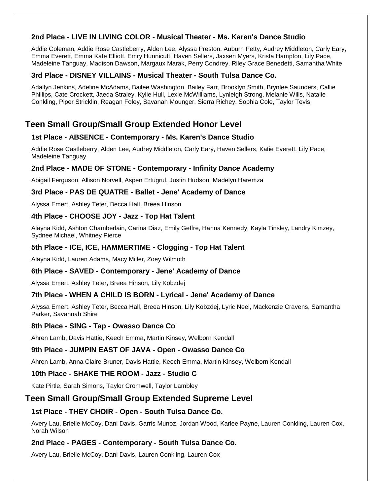# **2nd Place - LIVE IN LIVING COLOR - Musical Theater - Ms. Karen's Dance Studio**

Addie Coleman, Addie Rose Castleberry, Alden Lee, Alyssa Preston, Auburn Petty, Audrey Middleton, Carly Eary, Emma Everett, Emma Kate Elliott, Emry Hunnicutt, Haven Sellers, Jaxsen Myers, Krista Hampton, Lily Pace, Madeleine Tanguay, Madison Dawson, Margaux Marak, Perry Condrey, Riley Grace Benedetti, Samantha White

## **3rd Place - DISNEY VILLAINS - Musical Theater - South Tulsa Dance Co.**

Adallyn Jenkins, Adeline McAdams, Bailee Washington, Bailey Farr, Brooklyn Smith, Brynlee Saunders, Callie Phillips, Cate Crockett, Jaeda Straley, Kylie Hull, Lexie McWilliams, Lynleigh Strong, Melanie Wills, Natalie Conkling, Piper Stricklin, Reagan Foley, Savanah Mounger, Sierra Richey, Sophia Cole, Taylor Tevis

# **Teen Small Group/Small Group Extended Honor Level**

### **1st Place - ABSENCE - Contemporary - Ms. Karen's Dance Studio**

Addie Rose Castleberry, Alden Lee, Audrey Middleton, Carly Eary, Haven Sellers, Katie Everett, Lily Pace, Madeleine Tanguay

## **2nd Place - MADE OF STONE - Contemporary - Infinity Dance Academy**

Abigail Ferguson, Allison Norvell, Aspen Ertugrul, Justin Hudson, Madelyn Haremza

### **3rd Place - PAS DE QUATRE - Ballet - Jene' Academy of Dance**

Alyssa Emert, Ashley Teter, Becca Hall, Breea Hinson

### **4th Place - CHOOSE JOY - Jazz - Top Hat Talent**

Alayna Kidd, Ashton Chamberlain, Carina Diaz, Emily Geffre, Hanna Kennedy, Kayla Tinsley, Landry Kimzey, Sydnee Michael, Whitney Pierce

## **5th Place - ICE, ICE, HAMMERTIME - Clogging - Top Hat Talent**

Alayna Kidd, Lauren Adams, Macy Miller, Zoey Wilmoth

### **6th Place - SAVED - Contemporary - Jene' Academy of Dance**

Alyssa Emert, Ashley Teter, Breea Hinson, Lily Kobzdej

### **7th Place - WHEN A CHILD IS BORN - Lyrical - Jene' Academy of Dance**

Alyssa Emert, Ashley Teter, Becca Hall, Breea Hinson, Lily Kobzdej, Lyric Neel, Mackenzie Cravens, Samantha Parker, Savannah Shire

### **8th Place - SING - Tap - Owasso Dance Co**

Ahren Lamb, Davis Hattie, Keech Emma, Martin Kinsey, Welborn Kendall

# **9th Place - JUMPIN EAST OF JAVA - Open - Owasso Dance Co**

Ahren Lamb, Anna Claire Bruner, Davis Hattie, Keech Emma, Martin Kinsey, Welborn Kendall

# **10th Place - SHAKE THE ROOM - Jazz - Studio C**

Kate Pirtle, Sarah Simons, Taylor Cromwell, Taylor Lambley

# **Teen Small Group/Small Group Extended Supreme Level**

# **1st Place - THEY CHOIR - Open - South Tulsa Dance Co.**

Avery Lau, Brielle McCoy, Dani Davis, Garris Munoz, Jordan Wood, Karlee Payne, Lauren Conkling, Lauren Cox, Norah Wilson

# **2nd Place - PAGES - Contemporary - South Tulsa Dance Co.**

Avery Lau, Brielle McCoy, Dani Davis, Lauren Conkling, Lauren Cox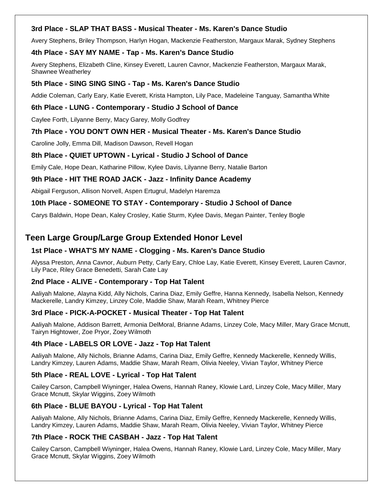## **3rd Place - SLAP THAT BASS - Musical Theater - Ms. Karen's Dance Studio**

Avery Stephens, Briley Thompson, Harlyn Hogan, Mackenzie Featherston, Margaux Marak, Sydney Stephens

### **4th Place - SAY MY NAME - Tap - Ms. Karen's Dance Studio**

Avery Stephens, Elizabeth Cline, Kinsey Everett, Lauren Cavnor, Mackenzie Featherston, Margaux Marak, Shawnee Weatherley

#### **5th Place - SING SING SING - Tap - Ms. Karen's Dance Studio**

Addie Coleman, Carly Eary, Katie Everett, Krista Hampton, Lily Pace, Madeleine Tanguay, Samantha White

#### **6th Place - LUNG - Contemporary - Studio J School of Dance**

Caylee Forth, Lilyanne Berry, Macy Garey, Molly Godfrey

## **7th Place - YOU DON'T OWN HER - Musical Theater - Ms. Karen's Dance Studio**

Caroline Jolly, Emma Dill, Madison Dawson, Revell Hogan

#### **8th Place - QUIET UPTOWN - Lyrical - Studio J School of Dance**

Emily Cale, Hope Dean, Katharine Pillow, Kylee Davis, Lilyanne Berry, Natalie Barton

### **9th Place - HIT THE ROAD JACK - Jazz - Infinity Dance Academy**

Abigail Ferguson, Allison Norvell, Aspen Ertugrul, Madelyn Haremza

### **10th Place - SOMEONE TO STAY - Contemporary - Studio J School of Dance**

Carys Baldwin, Hope Dean, Kaley Crosley, Katie Sturm, Kylee Davis, Megan Painter, Tenley Bogle

# **Teen Large Group/Large Group Extended Honor Level**

### **1st Place - WHAT'S MY NAME - Clogging - Ms. Karen's Dance Studio**

Alyssa Preston, Anna Cavnor, Auburn Petty, Carly Eary, Chloe Lay, Katie Everett, Kinsey Everett, Lauren Cavnor, Lily Pace, Riley Grace Benedetti, Sarah Cate Lay

### **2nd Place - ALIVE - Contemporary - Top Hat Talent**

Aaliyah Malone, Alayna Kidd, Ally Nichols, Carina Diaz, Emily Geffre, Hanna Kennedy, Isabella Nelson, Kennedy Mackerelle, Landry Kimzey, Linzey Cole, Maddie Shaw, Marah Ream, Whitney Pierce

### **3rd Place - PICK-A-POCKET - Musical Theater - Top Hat Talent**

Aaliyah Malone, Addison Barrett, Armonia DelMoral, Brianne Adams, Linzey Cole, Macy Miller, Mary Grace Mcnutt, Tairyn Hightower, Zoe Pryor, Zoey Wilmoth

### **4th Place - LABELS OR LOVE - Jazz - Top Hat Talent**

Aaliyah Malone, Ally Nichols, Brianne Adams, Carina Diaz, Emily Geffre, Kennedy Mackerelle, Kennedy Willis, Landry Kimzey, Lauren Adams, Maddie Shaw, Marah Ream, Olivia Neeley, Vivian Taylor, Whitney Pierce

### **5th Place - REAL LOVE - Lyrical - Top Hat Talent**

Cailey Carson, Campbell Wiyninger, Halea Owens, Hannah Raney, Klowie Lard, Linzey Cole, Macy Miller, Mary Grace Mcnutt, Skylar Wiggins, Zoey Wilmoth

### **6th Place - BLUE BAYOU - Lyrical - Top Hat Talent**

Aaliyah Malone, Ally Nichols, Brianne Adams, Carina Diaz, Emily Geffre, Kennedy Mackerelle, Kennedy Willis, Landry Kimzey, Lauren Adams, Maddie Shaw, Marah Ream, Olivia Neeley, Vivian Taylor, Whitney Pierce

### **7th Place - ROCK THE CASBAH - Jazz - Top Hat Talent**

Cailey Carson, Campbell Wiyninger, Halea Owens, Hannah Raney, Klowie Lard, Linzey Cole, Macy Miller, Mary Grace Mcnutt, Skylar Wiggins, Zoey Wilmoth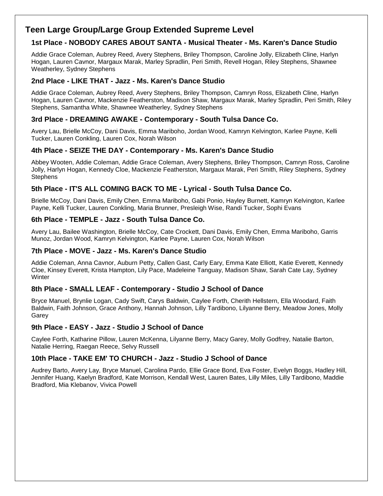# **Teen Large Group/Large Group Extended Supreme Level**

# **1st Place - NOBODY CARES ABOUT SANTA - Musical Theater - Ms. Karen's Dance Studio**

Addie Grace Coleman, Aubrey Reed, Avery Stephens, Briley Thompson, Caroline Jolly, Elizabeth Cline, Harlyn Hogan, Lauren Cavnor, Margaux Marak, Marley Spradlin, Peri Smith, Revell Hogan, Riley Stephens, Shawnee Weatherley, Sydney Stephens

# **2nd Place - LIKE THAT - Jazz - Ms. Karen's Dance Studio**

Addie Grace Coleman, Aubrey Reed, Avery Stephens, Briley Thompson, Camryn Ross, Elizabeth Cline, Harlyn Hogan, Lauren Cavnor, Mackenzie Featherston, Madison Shaw, Margaux Marak, Marley Spradlin, Peri Smith, Riley Stephens, Samantha White, Shawnee Weatherley, Sydney Stephens

## **3rd Place - DREAMING AWAKE - Contemporary - South Tulsa Dance Co.**

Avery Lau, Brielle McCoy, Dani Davis, Emma Mariboho, Jordan Wood, Kamryn Kelvington, Karlee Payne, Kelli Tucker, Lauren Conkling, Lauren Cox, Norah Wilson

## **4th Place - SEIZE THE DAY - Contemporary - Ms. Karen's Dance Studio**

Abbey Wooten, Addie Coleman, Addie Grace Coleman, Avery Stephens, Briley Thompson, Camryn Ross, Caroline Jolly, Harlyn Hogan, Kennedy Cloe, Mackenzie Featherston, Margaux Marak, Peri Smith, Riley Stephens, Sydney **Stephens** 

## **5th Place - IT'S ALL COMING BACK TO ME - Lyrical - South Tulsa Dance Co.**

Brielle McCoy, Dani Davis, Emily Chen, Emma Mariboho, Gabi Ponio, Hayley Burnett, Kamryn Kelvington, Karlee Payne, Kelli Tucker, Lauren Conkling, Maria Brunner, Presleigh Wise, Randi Tucker, Sophi Evans

### **6th Place - TEMPLE - Jazz - South Tulsa Dance Co.**

Avery Lau, Bailee Washington, Brielle McCoy, Cate Crockett, Dani Davis, Emily Chen, Emma Mariboho, Garris Munoz, Jordan Wood, Kamryn Kelvington, Karlee Payne, Lauren Cox, Norah Wilson

### **7th Place - MOVE - Jazz - Ms. Karen's Dance Studio**

Addie Coleman, Anna Cavnor, Auburn Petty, Callen Gast, Carly Eary, Emma Kate Elliott, Katie Everett, Kennedy Cloe, Kinsey Everett, Krista Hampton, Lily Pace, Madeleine Tanguay, Madison Shaw, Sarah Cate Lay, Sydney Winter

### **8th Place - SMALL LEAF - Contemporary - Studio J School of Dance**

Bryce Manuel, Brynlie Logan, Cady Swift, Carys Baldwin, Caylee Forth, Cherith Hellstern, Ella Woodard, Faith Baldwin, Faith Johnson, Grace Anthony, Hannah Johnson, Lilly Tardibono, Lilyanne Berry, Meadow Jones, Molly Garey

### **9th Place - EASY - Jazz - Studio J School of Dance**

Caylee Forth, Katharine Pillow, Lauren McKenna, Lilyanne Berry, Macy Garey, Molly Godfrey, Natalie Barton, Natalie Herring, Raegan Reece, Selvy Russell

### **10th Place - TAKE EM' TO CHURCH - Jazz - Studio J School of Dance**

Audrey Barto, Avery Lay, Bryce Manuel, Carolina Pardo, Ellie Grace Bond, Eva Foster, Evelyn Boggs, Hadley Hill, Jennifer Huang, Kaelyn Bradford, Kate Morrison, Kendall West, Lauren Bates, Lilly Miles, Lilly Tardibono, Maddie Bradford, Mia Klebanov, Vivica Powell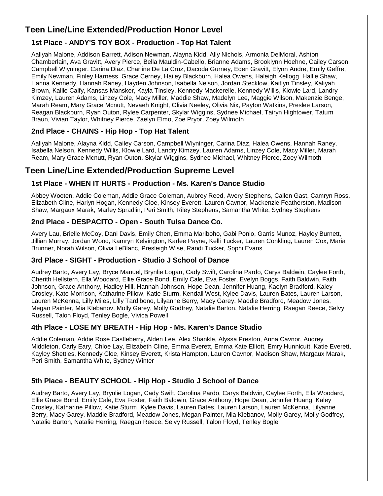# **Teen Line/Line Extended/Production Honor Level**

# **1st Place - ANDY'S TOY BOX - Production - Top Hat Talent**

Aaliyah Malone, Addison Barrett, Adison Newman, Alayna Kidd, Ally Nichols, Armonia DelMoral, Ashton Chamberlain, Ava Gravitt, Avery Pierce, Bella Mauldin-Cabello, Brianne Adams, Brooklynn Hoehne, Cailey Carson, Campbell Wiyninger, Carina Diaz, Charline De La Cruz, Dacoda Gurney, Eden Gravitt, Elynn Andre, Emily Geffre, Emily Newman, Finley Harness, Grace Cerney, Hailey Blackburn, Halea Owens, Haleigh Kellogg, Hallie Shaw, Hanna Kennedy, Hannah Raney, Hayden Johnson, Isabella Nelson, Jordan Stecklow, Kaitlyn Tinsley, Kaliyah Brown, Kallie Calfy, Kansas Mansker, Kayla Tinsley, Kennedy Mackerelle, Kennedy Willis, Klowie Lard, Landry Kimzey, Lauren Adams, Linzey Cole, Macy Miller, Maddie Shaw, Madelyn Lee, Maggie Wilson, Makenzie Benge, Marah Ream, Mary Grace Mcnutt, Nevaeh Knight, Olivia Neeley, Olivia Nix, Payton Watkins, Preslee Larson, Reagan Blackburn, Ryan Outon, Rylee Carpenter, Skylar Wiggins, Sydnee Michael, Tairyn Hightower, Tatum Braun, Vivian Taylor, Whitney Pierce, Zaelyn Elmo, Zoe Pryor, Zoey Wilmoth

# **2nd Place - CHAINS - Hip Hop - Top Hat Talent**

Aaliyah Malone, Alayna Kidd, Cailey Carson, Campbell Wiyninger, Carina Diaz, Halea Owens, Hannah Raney, Isabella Nelson, Kennedy Willis, Klowie Lard, Landry Kimzey, Lauren Adams, Linzey Cole, Macy Miller, Marah Ream, Mary Grace Mcnutt, Ryan Outon, Skylar Wiggins, Sydnee Michael, Whitney Pierce, Zoey Wilmoth

# **Teen Line/Line Extended/Production Supreme Level**

## **1st Place - WHEN IT HURTS - Production - Ms. Karen's Dance Studio**

Abbey Wooten, Addie Coleman, Addie Grace Coleman, Aubrey Reed, Avery Stephens, Callen Gast, Camryn Ross, Elizabeth Cline, Harlyn Hogan, Kennedy Cloe, Kinsey Everett, Lauren Cavnor, Mackenzie Featherston, Madison Shaw, Margaux Marak, Marley Spradlin, Peri Smith, Riley Stephens, Samantha White, Sydney Stephens

## **2nd Place - DESPACITO - Open - South Tulsa Dance Co.**

Avery Lau, Brielle McCoy, Dani Davis, Emily Chen, Emma Mariboho, Gabi Ponio, Garris Munoz, Hayley Burnett, Jillian Murray, Jordan Wood, Kamryn Kelvington, Karlee Payne, Kelli Tucker, Lauren Conkling, Lauren Cox, Maria Brunner, Norah Wilson, Olivia LeBlanc, Presleigh Wise, Randi Tucker, Sophi Evans

# **3rd Place - SIGHT - Production - Studio J School of Dance**

Audrey Barto, Avery Lay, Bryce Manuel, Brynlie Logan, Cady Swift, Carolina Pardo, Carys Baldwin, Caylee Forth, Cherith Hellstern, Ella Woodard, Ellie Grace Bond, Emily Cale, Eva Foster, Evelyn Boggs, Faith Baldwin, Faith Johnson, Grace Anthony, Hadley Hill, Hannah Johnson, Hope Dean, Jennifer Huang, Kaelyn Bradford, Kaley Crosley, Kate Morrison, Katharine Pillow, Katie Sturm, Kendall West, Kylee Davis, Lauren Bates, Lauren Larson, Lauren McKenna, Lilly Miles, Lilly Tardibono, Lilyanne Berry, Macy Garey, Maddie Bradford, Meadow Jones, Megan Painter, Mia Klebanov, Molly Garey, Molly Godfrey, Natalie Barton, Natalie Herring, Raegan Reece, Selvy Russell, Talon Floyd, Tenley Bogle, Vivica Powell

# **4th Place - LOSE MY BREATH - Hip Hop - Ms. Karen's Dance Studio**

Addie Coleman, Addie Rose Castleberry, Alden Lee, Alex Shankle, Alyssa Preston, Anna Cavnor, Audrey Middleton, Carly Eary, Chloe Lay, Elizabeth Cline, Emma Everett, Emma Kate Elliott, Emry Hunnicutt, Katie Everett, Kayley Shettles, Kennedy Cloe, Kinsey Everett, Krista Hampton, Lauren Cavnor, Madison Shaw, Margaux Marak, Peri Smith, Samantha White, Sydney Winter

# **5th Place - BEAUTY SCHOOL - Hip Hop - Studio J School of Dance**

Audrey Barto, Avery Lay, Brynlie Logan, Cady Swift, Carolina Pardo, Carys Baldwin, Caylee Forth, Ella Woodard, Ellie Grace Bond, Emily Cale, Eva Foster, Faith Baldwin, Grace Anthony, Hope Dean, Jennifer Huang, Kaley Crosley, Katharine Pillow, Katie Sturm, Kylee Davis, Lauren Bates, Lauren Larson, Lauren McKenna, Lilyanne Berry, Macy Garey, Maddie Bradford, Meadow Jones, Megan Painter, Mia Klebanov, Molly Garey, Molly Godfrey, Natalie Barton, Natalie Herring, Raegan Reece, Selvy Russell, Talon Floyd, Tenley Bogle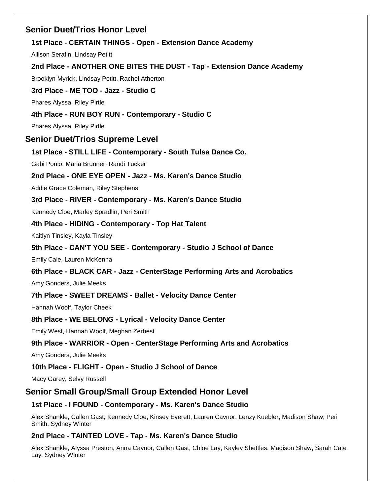# **Senior Duet/Trios Honor Level**

# **1st Place - CERTAIN THINGS - Open - Extension Dance Academy**

Allison Serafin, Lindsay Petitt

# **2nd Place - ANOTHER ONE BITES THE DUST - Tap - Extension Dance Academy**

Brooklyn Myrick, Lindsay Petitt, Rachel Atherton

## **3rd Place - ME TOO - Jazz - Studio C**

Phares Alyssa, Riley Pirtle

# **4th Place - RUN BOY RUN - Contemporary - Studio C**

Phares Alyssa, Riley Pirtle

# **Senior Duet/Trios Supreme Level**

## **1st Place - STILL LIFE - Contemporary - South Tulsa Dance Co.**

Gabi Ponio, Maria Brunner, Randi Tucker

## **2nd Place - ONE EYE OPEN - Jazz - Ms. Karen's Dance Studio**

Addie Grace Coleman, Riley Stephens

## **3rd Place - RIVER - Contemporary - Ms. Karen's Dance Studio**

Kennedy Cloe, Marley Spradlin, Peri Smith

## **4th Place - HIDING - Contemporary - Top Hat Talent**

Kaitlyn Tinsley, Kayla Tinsley

# **5th Place - CAN'T YOU SEE - Contemporary - Studio J School of Dance**

Emily Cale, Lauren McKenna

# **6th Place - BLACK CAR - Jazz - CenterStage Performing Arts and Acrobatics**

Amy Gonders, Julie Meeks

# **7th Place - SWEET DREAMS - Ballet - Velocity Dance Center**

Hannah Woolf, Taylor Cheek

# **8th Place - WE BELONG - Lyrical - Velocity Dance Center**

Emily West, Hannah Woolf, Meghan Zerbest

# **9th Place - WARRIOR - Open - CenterStage Performing Arts and Acrobatics**

Amy Gonders, Julie Meeks

# **10th Place - FLIGHT - Open - Studio J School of Dance**

Macy Garey, Selvy Russell

# **Senior Small Group/Small Group Extended Honor Level**

# **1st Place - I FOUND - Contemporary - Ms. Karen's Dance Studio**

Alex Shankle, Callen Gast, Kennedy Cloe, Kinsey Everett, Lauren Cavnor, Lenzy Kuebler, Madison Shaw, Peri Smith, Sydney Winter

# **2nd Place - TAINTED LOVE - Tap - Ms. Karen's Dance Studio**

Alex Shankle, Alyssa Preston, Anna Cavnor, Callen Gast, Chloe Lay, Kayley Shettles, Madison Shaw, Sarah Cate Lay, Sydney Winter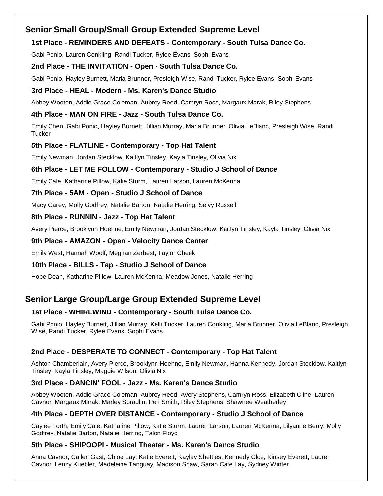# **Senior Small Group/Small Group Extended Supreme Level**

# **1st Place - REMINDERS AND DEFEATS - Contemporary - South Tulsa Dance Co.**

Gabi Ponio, Lauren Conkling, Randi Tucker, Rylee Evans, Sophi Evans

# **2nd Place - THE INVITATION - Open - South Tulsa Dance Co.**

Gabi Ponio, Hayley Burnett, Maria Brunner, Presleigh Wise, Randi Tucker, Rylee Evans, Sophi Evans

### **3rd Place - HEAL - Modern - Ms. Karen's Dance Studio**

Abbey Wooten, Addie Grace Coleman, Aubrey Reed, Camryn Ross, Margaux Marak, Riley Stephens

## **4th Place - MAN ON FIRE - Jazz - South Tulsa Dance Co.**

Emily Chen, Gabi Ponio, Hayley Burnett, Jillian Murray, Maria Brunner, Olivia LeBlanc, Presleigh Wise, Randi **Tucker** 

## **5th Place - FLATLINE - Contemporary - Top Hat Talent**

Emily Newman, Jordan Stecklow, Kaitlyn Tinsley, Kayla Tinsley, Olivia Nix

# **6th Place - LET ME FOLLOW - Contemporary - Studio J School of Dance**

Emily Cale, Katharine Pillow, Katie Sturm, Lauren Larson, Lauren McKenna

## **7th Place - 5AM - Open - Studio J School of Dance**

Macy Garey, Molly Godfrey, Natalie Barton, Natalie Herring, Selvy Russell

## **8th Place - RUNNIN - Jazz - Top Hat Talent**

Avery Pierce, Brooklynn Hoehne, Emily Newman, Jordan Stecklow, Kaitlyn Tinsley, Kayla Tinsley, Olivia Nix

## **9th Place - AMAZON - Open - Velocity Dance Center**

Emily West, Hannah Woolf, Meghan Zerbest, Taylor Cheek

# **10th Place - BILLS - Tap - Studio J School of Dance**

Hope Dean, Katharine Pillow, Lauren McKenna, Meadow Jones, Natalie Herring

# **Senior Large Group/Large Group Extended Supreme Level**

# **1st Place - WHIRLWIND - Contemporary - South Tulsa Dance Co.**

Gabi Ponio, Hayley Burnett, Jillian Murray, Kelli Tucker, Lauren Conkling, Maria Brunner, Olivia LeBlanc, Presleigh Wise, Randi Tucker, Rylee Evans, Sophi Evans

# **2nd Place - DESPERATE TO CONNECT - Contemporary - Top Hat Talent**

Ashton Chamberlain, Avery Pierce, Brooklynn Hoehne, Emily Newman, Hanna Kennedy, Jordan Stecklow, Kaitlyn Tinsley, Kayla Tinsley, Maggie Wilson, Olivia Nix

# **3rd Place - DANCIN' FOOL - Jazz - Ms. Karen's Dance Studio**

Abbey Wooten, Addie Grace Coleman, Aubrey Reed, Avery Stephens, Camryn Ross, Elizabeth Cline, Lauren Cavnor, Margaux Marak, Marley Spradlin, Peri Smith, Riley Stephens, Shawnee Weatherley

# **4th Place - DEPTH OVER DISTANCE - Contemporary - Studio J School of Dance**

Caylee Forth, Emily Cale, Katharine Pillow, Katie Sturm, Lauren Larson, Lauren McKenna, Lilyanne Berry, Molly Godfrey, Natalie Barton, Natalie Herring, Talon Floyd

### **5th Place - SHIPOOPI - Musical Theater - Ms. Karen's Dance Studio**

Anna Cavnor, Callen Gast, Chloe Lay, Katie Everett, Kayley Shettles, Kennedy Cloe, Kinsey Everett, Lauren Cavnor, Lenzy Kuebler, Madeleine Tanguay, Madison Shaw, Sarah Cate Lay, Sydney Winter